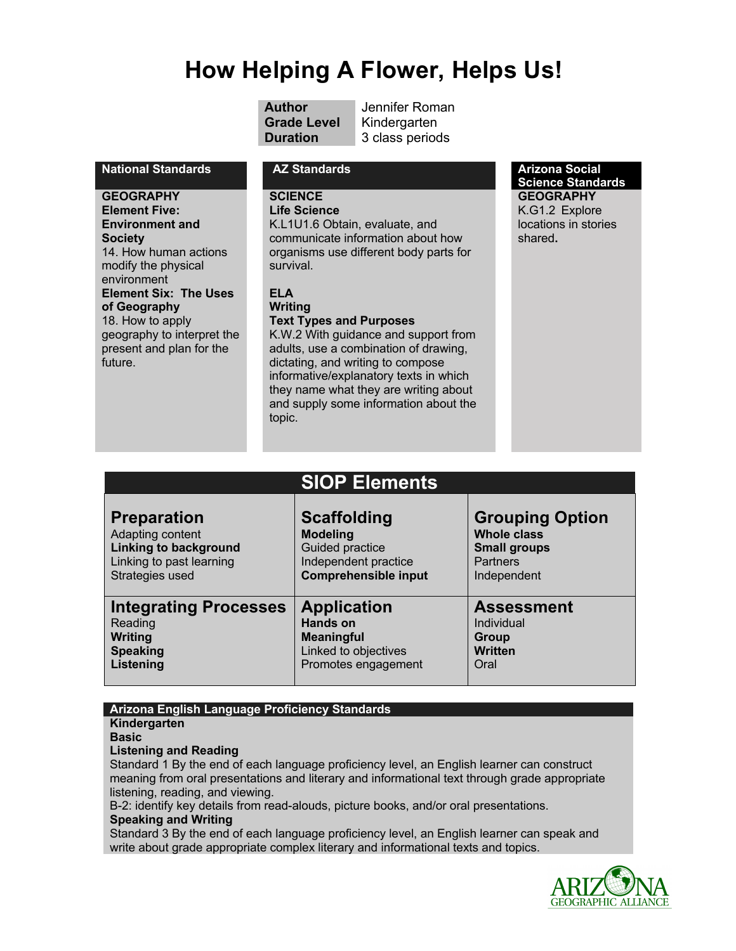# **How Helping A Flower, Helps Us!**

**Grade Level** Kindergarten

**Author** Jennifer Roman **Duration 3 class periods** 

# **National Standards AZ Standards AZ Standards Arizona Social <b>A**

**GEOGRAPHY Element Five: Environment and Society** 14. How human actions modify the physical environment **Element Six: The Uses of Geography** 18. How to apply geography to interpret the present and plan for the future.

# **SCIENCE**

**Life Science** 

K.L1U1.6 Obtain, evaluate, and communicate information about how organisms use different body parts for survival.

# **ELA**

**Writing**

**Text Types and Purposes** K.W.2 With guidance and support from adults, use a combination of drawing, dictating, and writing to compose informative/explanatory texts in which they name what they are writing about and supply some information about the topic.

**Science Standards GEOGRAPHY**

K.G1.2 Explore locations in stories shared**.**

|                              | <b>SIOP Elements</b>        |                        |
|------------------------------|-----------------------------|------------------------|
| <b>Preparation</b>           | <b>Scaffolding</b>          | <b>Grouping Option</b> |
| Adapting content             | <b>Modeling</b>             | <b>Whole class</b>     |
| <b>Linking to background</b> | Guided practice             | <b>Small groups</b>    |
| Linking to past learning     | Independent practice        | <b>Partners</b>        |
| Strategies used              | <b>Comprehensible input</b> | Independent            |
| <b>Integrating Processes</b> | <b>Application</b>          | <b>Assessment</b>      |
| Reading                      | Hands on                    | Individual             |
| Writing                      | <b>Meaningful</b>           | Group                  |
| <b>Speaking</b>              | Linked to objectives        | <b>Written</b>         |
| Listening                    | Promotes engagement         | Oral                   |

# **Arizona English Language Proficiency Standards**

**Kindergarten**

**Basic**

**Listening and Reading**

Standard 1 By the end of each language proficiency level, an English learner can construct meaning from oral presentations and literary and informational text through grade appropriate listening, reading, and viewing.

B-2: identify key details from read-alouds, picture books, and/or oral presentations.

### **Speaking and Writing**

Standard 3 By the end of each language proficiency level, an English learner can speak and write about grade appropriate complex literary and informational texts and topics.

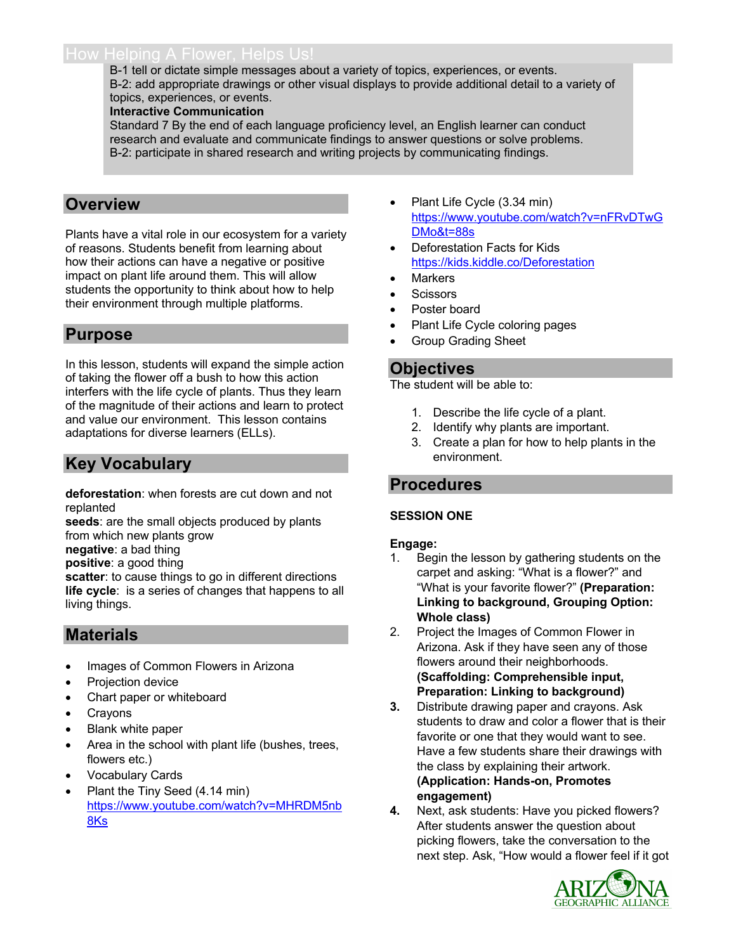# How Helping A Flower, Helps Us!

B-1 tell or dictate simple messages about a variety of topics, experiences, or events. B-2: add appropriate drawings or other visual displays to provide additional detail to a variety of topics, experiences, or events.

### **Interactive Communication**

Standard 7 By the end of each language proficiency level, an English learner can conduct research and evaluate and communicate findings to answer questions or solve problems. B-2: participate in shared research and writing projects by communicating findings.

# **Overview**

Plants have a vital role in our ecosystem for a variety of reasons. Students benefit from learning about how their actions can have a negative or positive impact on plant life around them. This will allow students the opportunity to think about how to help their environment through multiple platforms.

# **Purpose**

In this lesson, students will expand the simple action of taking the flower off a bush to how this action interfers with the life cycle of plants. Thus they learn of the magnitude of their actions and learn to protect and value our environment. This lesson contains adaptations for diverse learners (ELLs).

# **Key Vocabulary**

**deforestation**: when forests are cut down and not replanted

**seeds**: are the small objects produced by plants from which new plants grow

**negative**: a bad thing

**positive**: a good thing

**scatter**: to cause things to go in different directions **life cycle**: is a series of changes that happens to all living things.

# **Materials**

- Images of Common Flowers in Arizona
- Projection device
- Chart paper or whiteboard
- **Crayons**
- Blank white paper
- Area in the school with plant life (bushes, trees, flowers etc.)
- Vocabulary Cards
- Plant the Tiny Seed (4.14 min) https://www.youtube.com/watch?v=MHRDM5nb 8Ks
- Plant Life Cycle (3.34 min) https://www.youtube.com/watch?v=nFRvDTwG DMo&t=88s
- Deforestation Facts for Kids https://kids.kiddle.co/Deforestation
- **Markers**
- **Scissors**
- Poster board
- Plant Life Cycle coloring pages
- Group Grading Sheet

# **Objectives**

The student will be able to:

- 1. Describe the life cycle of a plant.
- 2. Identify why plants are important.
- 3. Create a plan for how to help plants in the environment.

# **Procedures**

# **SESSION ONE**

### **Engage:**

- 1. Begin the lesson by gathering students on the carpet and asking: "What is a flower?" and "What is your favorite flower?" **(Preparation: Linking to background, Grouping Option: Whole class)**
- 2. Project the Images of Common Flower in Arizona. Ask if they have seen any of those flowers around their neighborhoods. **(Scaffolding: Comprehensible input, Preparation: Linking to background)**
- **3.** Distribute drawing paper and crayons. Ask students to draw and color a flower that is their favorite or one that they would want to see. Have a few students share their drawings with the class by explaining their artwork. **(Application: Hands-on, Promotes engagement)**
- **4.** Next, ask students: Have you picked flowers? After students answer the question about picking flowers, take the conversation to the next step. Ask, "How would a flower feel if it got

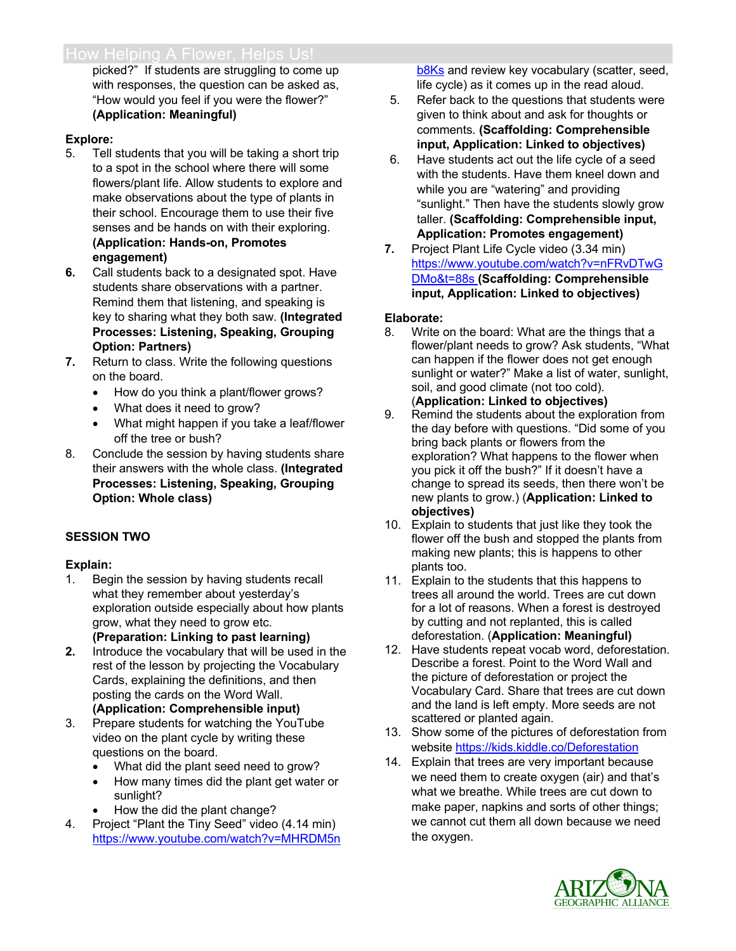picked?" If students are struggling to come up with responses, the question can be asked as, "How would you feel if you were the flower?" **(Application: Meaningful)**

### **Explore:**

- 5. Tell students that you will be taking a short trip to a spot in the school where there will some flowers/plant life. Allow students to explore and make observations about the type of plants in their school. Encourage them to use their five senses and be hands on with their exploring. **(Application: Hands-on, Promotes engagement)**
- **6.** Call students back to a designated spot. Have students share observations with a partner. Remind them that listening, and speaking is key to sharing what they both saw. **(Integrated Processes: Listening, Speaking, Grouping Option: Partners)**
- **7.** Return to class. Write the following questions on the board.
	- How do you think a plant/flower grows?
	- What does it need to grow?
	- What might happen if you take a leaf/flower off the tree or bush?
- 8. Conclude the session by having students share their answers with the whole class. **(Integrated Processes: Listening, Speaking, Grouping Option: Whole class)**

# **SESSION TWO**

### **Explain:**

- 1. Begin the session by having students recall what they remember about yesterday's exploration outside especially about how plants grow, what they need to grow etc. **(Preparation: Linking to past learning)**
- **2.** Introduce the vocabulary that will be used in the rest of the lesson by projecting the Vocabulary Cards, explaining the definitions, and then posting the cards on the Word Wall. **(Application: Comprehensible input)**
- 3. Prepare students for watching the YouTube video on the plant cycle by writing these questions on the board.
	- What did the plant seed need to grow?
	- How many times did the plant get water or sunlight?
	- How the did the plant change?
- 4. Project "Plant the Tiny Seed" video (4.14 min) https://www.youtube.com/watch?v=MHRDM5n

b8Ks and review key vocabulary (scatter, seed, life cycle) as it comes up in the read aloud.

- 5. Refer back to the questions that students were given to think about and ask for thoughts or comments. **(Scaffolding: Comprehensible input, Application: Linked to objectives)**
- 6. Have students act out the life cycle of a seed with the students. Have them kneel down and while you are "watering" and providing "sunlight." Then have the students slowly grow taller. **(Scaffolding: Comprehensible input, Application: Promotes engagement)**
- **7.** Project Plant Life Cycle video (3.34 min) https://www.youtube.com/watch?v=nFRvDTwG DMo&t=88s **(Scaffolding: Comprehensible input, Application: Linked to objectives)**

# **Elaborate:**

- 8. Write on the board: What are the things that a flower/plant needs to grow? Ask students, "What can happen if the flower does not get enough sunlight or water?" Make a list of water, sunlight, soil, and good climate (not too cold). (**Application: Linked to objectives)**
- 9. Remind the students about the exploration from the day before with questions. "Did some of you bring back plants or flowers from the exploration? What happens to the flower when you pick it off the bush?" If it doesn't have a change to spread its seeds, then there won't be new plants to grow.) (**Application: Linked to objectives)**
- 10. Explain to students that just like they took the flower off the bush and stopped the plants from making new plants; this is happens to other plants too.
- 11. Explain to the students that this happens to trees all around the world. Trees are cut down for a lot of reasons. When a forest is destroyed by cutting and not replanted, this is called deforestation. (**Application: Meaningful)**
- 12. Have students repeat vocab word, deforestation. Describe a forest. Point to the Word Wall and the picture of deforestation or project the Vocabulary Card. Share that trees are cut down and the land is left empty. More seeds are not scattered or planted again.
- 13. Show some of the pictures of deforestation from website https://kids.kiddle.co/Deforestation
- 14. Explain that trees are very important because we need them to create oxygen (air) and that's what we breathe. While trees are cut down to make paper, napkins and sorts of other things; we cannot cut them all down because we need the oxygen.